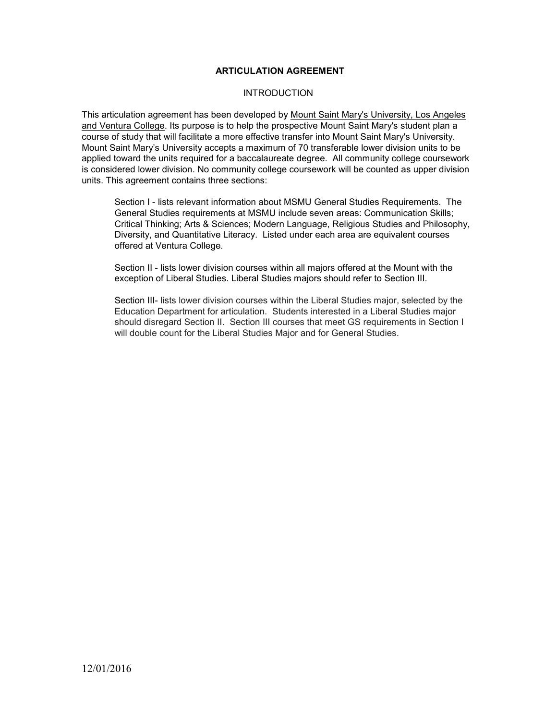## **ARTICULATION AGREEMENT**

#### **INTRODUCTION**

This articulation agreement has been developed by Mount Saint Mary's University, Los Angeles and Ventura College. Its purpose is to help the prospective Mount Saint Mary's student plan a course of study that will facilitate a more effective transfer into Mount Saint Mary's University. Mount Saint Mary's University accepts a maximum of 70 transferable lower division units to be applied toward the units required for a baccalaureate degree. All community college coursework is considered lower division. No community college coursework will be counted as upper division units. This agreement contains three sections:

Section I - lists relevant information about MSMU General Studies Requirements. The General Studies requirements at MSMU include seven areas: Communication Skills; Critical Thinking; Arts & Sciences; Modern Language, Religious Studies and Philosophy, Diversity, and Quantitative Literacy. Listed under each area are equivalent courses offered at Ventura College.

Section II - lists lower division courses within all majors offered at the Mount with the exception of Liberal Studies. Liberal Studies majors should refer to Section III.

Section III- lists lower division courses within the Liberal Studies major, selected by the Education Department for articulation. Students interested in a Liberal Studies major should disregard Section II. Section III courses that meet GS requirements in Section I will double count for the Liberal Studies Major and for General Studies.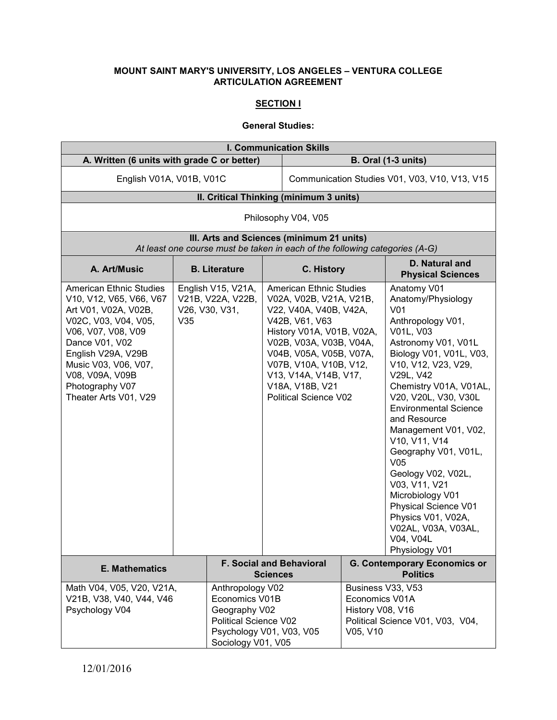# **MOUNT SAINT MARY'S UNIVERSITY, LOS ANGELES – VENTURA COLLEGE ARTICULATION AGREEMENT**

### **SECTION I**

# **General Studies:**

| <b>I. Communication Skills</b>                                                                                                                                                                                                                                 |                                                                                                                                |                                                           |                                               |                                                                                                                                                                                                                                                                                                |                                                                     |                                                                                                                                                                                                                                                                                                                                                                                                                                                                                                                                          |
|----------------------------------------------------------------------------------------------------------------------------------------------------------------------------------------------------------------------------------------------------------------|--------------------------------------------------------------------------------------------------------------------------------|-----------------------------------------------------------|-----------------------------------------------|------------------------------------------------------------------------------------------------------------------------------------------------------------------------------------------------------------------------------------------------------------------------------------------------|---------------------------------------------------------------------|------------------------------------------------------------------------------------------------------------------------------------------------------------------------------------------------------------------------------------------------------------------------------------------------------------------------------------------------------------------------------------------------------------------------------------------------------------------------------------------------------------------------------------------|
| A. Written (6 units with grade C or better)                                                                                                                                                                                                                    |                                                                                                                                |                                                           | <b>B. Oral (1-3 units)</b>                    |                                                                                                                                                                                                                                                                                                |                                                                     |                                                                                                                                                                                                                                                                                                                                                                                                                                                                                                                                          |
| English V01A, V01B, V01C                                                                                                                                                                                                                                       |                                                                                                                                |                                                           | Communication Studies V01, V03, V10, V13, V15 |                                                                                                                                                                                                                                                                                                |                                                                     |                                                                                                                                                                                                                                                                                                                                                                                                                                                                                                                                          |
|                                                                                                                                                                                                                                                                | II. Critical Thinking (minimum 3 units)                                                                                        |                                                           |                                               |                                                                                                                                                                                                                                                                                                |                                                                     |                                                                                                                                                                                                                                                                                                                                                                                                                                                                                                                                          |
|                                                                                                                                                                                                                                                                |                                                                                                                                |                                                           |                                               | Philosophy V04, V05                                                                                                                                                                                                                                                                            |                                                                     |                                                                                                                                                                                                                                                                                                                                                                                                                                                                                                                                          |
|                                                                                                                                                                                                                                                                |                                                                                                                                |                                                           |                                               | III. Arts and Sciences (minimum 21 units)<br>At least one course must be taken in each of the following categories (A-G)                                                                                                                                                                       |                                                                     |                                                                                                                                                                                                                                                                                                                                                                                                                                                                                                                                          |
| A. Art/Music                                                                                                                                                                                                                                                   |                                                                                                                                | <b>B.</b> Literature                                      |                                               | C. History                                                                                                                                                                                                                                                                                     |                                                                     | D. Natural and<br><b>Physical Sciences</b>                                                                                                                                                                                                                                                                                                                                                                                                                                                                                               |
| <b>American Ethnic Studies</b><br>V10, V12, V65, V66, V67<br>Art V01, V02A, V02B,<br>V02C, V03, V04, V05,<br>V06, V07, V08, V09<br>Dance V01, V02<br>English V29A, V29B<br>Music V03, V06, V07,<br>V08, V09A, V09B<br>Photography V07<br>Theater Arts V01, V29 | V35                                                                                                                            | English V15, V21A,<br>V21B, V22A, V22B,<br>V26, V30, V31, |                                               | <b>American Ethnic Studies</b><br>V02A, V02B, V21A, V21B,<br>V22, V40A, V40B, V42A,<br>V42B, V61, V63<br>History V01A, V01B, V02A,<br>V02B, V03A, V03B, V04A,<br>V04B, V05A, V05B, V07A,<br>V07B, V10A, V10B, V12,<br>V13, V14A, V14B, V17,<br>V18A, V18B, V21<br><b>Political Science V02</b> |                                                                     | Anatomy V01<br>Anatomy/Physiology<br>V <sub>01</sub><br>Anthropology V01,<br>V01L, V03<br>Astronomy V01, V01L<br>Biology V01, V01L, V03,<br>V10, V12, V23, V29,<br>V29L, V42<br>Chemistry V01A, V01AL,<br>V20, V20L, V30, V30L<br><b>Environmental Science</b><br>and Resource<br>Management V01, V02,<br>V10, V11, V14<br>Geography V01, V01L,<br>V <sub>05</sub><br>Geology V02, V02L,<br>V03, V11, V21<br>Microbiology V01<br><b>Physical Science V01</b><br>Physics V01, V02A,<br>V02AL, V03A, V03AL,<br>V04, V04L<br>Physiology V01 |
| F. Social and Behavioral<br><b>E. Mathematics</b><br><b>Sciences</b>                                                                                                                                                                                           |                                                                                                                                |                                                           |                                               | <b>G. Contemporary Economics or</b><br><b>Politics</b>                                                                                                                                                                                                                                         |                                                                     |                                                                                                                                                                                                                                                                                                                                                                                                                                                                                                                                          |
| Math V04, V05, V20, V21A,<br>V21B, V38, V40, V44, V46<br>Psychology V04                                                                                                                                                                                        | Anthropology V02<br>Economics V01B<br>Geography V02<br>Political Science V02<br>Psychology V01, V03, V05<br>Sociology V01, V05 |                                                           |                                               |                                                                                                                                                                                                                                                                                                | Business V33, V53<br>Economics V01A<br>History V08, V16<br>V05, V10 | Political Science V01, V03, V04,                                                                                                                                                                                                                                                                                                                                                                                                                                                                                                         |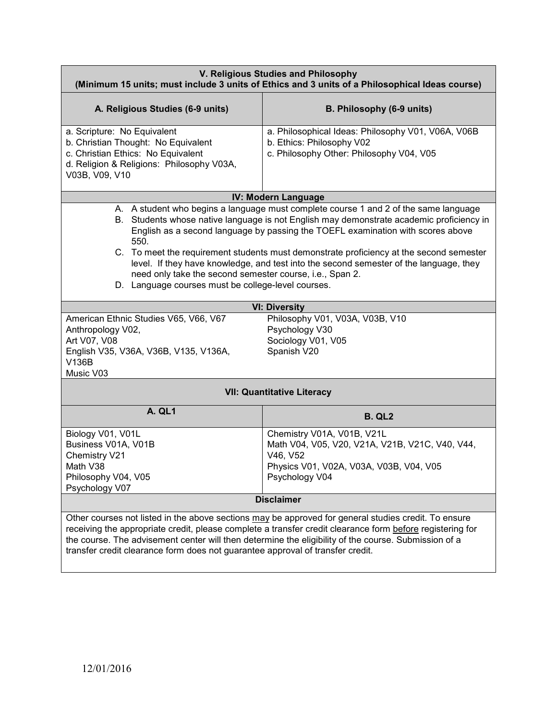| V. Religious Studies and Philosophy<br>(Minimum 15 units; must include 3 units of Ethics and 3 units of a Philosophical Ideas course)                                                                                                                                                                                                                                                                                                                                                                                                                                              |                                                                                                                             |  |  |  |
|------------------------------------------------------------------------------------------------------------------------------------------------------------------------------------------------------------------------------------------------------------------------------------------------------------------------------------------------------------------------------------------------------------------------------------------------------------------------------------------------------------------------------------------------------------------------------------|-----------------------------------------------------------------------------------------------------------------------------|--|--|--|
| A. Religious Studies (6-9 units)                                                                                                                                                                                                                                                                                                                                                                                                                                                                                                                                                   | B. Philosophy (6-9 units)                                                                                                   |  |  |  |
| a. Scripture: No Equivalent<br>b. Christian Thought: No Equivalent<br>c. Christian Ethics: No Equivalent<br>d. Religion & Religions: Philosophy V03A,<br>V03B, V09, V10                                                                                                                                                                                                                                                                                                                                                                                                            | a. Philosophical Ideas: Philosophy V01, V06A, V06B<br>b. Ethics: Philosophy V02<br>c. Philosophy Other: Philosophy V04, V05 |  |  |  |
|                                                                                                                                                                                                                                                                                                                                                                                                                                                                                                                                                                                    | <b>IV: Modern Language</b>                                                                                                  |  |  |  |
| A. A student who begins a language must complete course 1 and 2 of the same language<br>B. Students whose native language is not English may demonstrate academic proficiency in<br>English as a second language by passing the TOEFL examination with scores above<br>550.<br>C. To meet the requirement students must demonstrate proficiency at the second semester<br>level. If they have knowledge, and test into the second semester of the language, they<br>need only take the second semester course, i.e., Span 2.<br>D. Language courses must be college-level courses. |                                                                                                                             |  |  |  |
|                                                                                                                                                                                                                                                                                                                                                                                                                                                                                                                                                                                    | <b>VI: Diversity</b>                                                                                                        |  |  |  |
| Philosophy V01, V03A, V03B, V10<br>American Ethnic Studies V65, V66, V67<br>Psychology V30<br>Anthropology V02,<br>Art V07, V08<br>Sociology V01, V05<br>Spanish V20<br>English V35, V36A, V36B, V135, V136A,<br>V136B<br>Music V03                                                                                                                                                                                                                                                                                                                                                |                                                                                                                             |  |  |  |
|                                                                                                                                                                                                                                                                                                                                                                                                                                                                                                                                                                                    | <b>VII: Quantitative Literacy</b>                                                                                           |  |  |  |
| <b>A. QL1</b>                                                                                                                                                                                                                                                                                                                                                                                                                                                                                                                                                                      | <b>B. QL2</b>                                                                                                               |  |  |  |
| Biology V01, V01L<br>Chemistry V01A, V01B, V21L<br>Math V04, V05, V20, V21A, V21B, V21C, V40, V44,<br>Business V01A, V01B<br>Chemistry V21<br>V46, V52<br>Math V38<br>Physics V01, V02A, V03A, V03B, V04, V05<br>Philosophy V04, V05<br>Psychology V04<br>Psychology V07                                                                                                                                                                                                                                                                                                           |                                                                                                                             |  |  |  |
| <b>Disclaimer</b>                                                                                                                                                                                                                                                                                                                                                                                                                                                                                                                                                                  |                                                                                                                             |  |  |  |
| Other courses not listed in the above sections may be approved for general studies credit. To ensure<br>receiving the appropriate credit, please complete a transfer credit clearance form before registering for<br>the course. The advisement center will then determine the eligibility of the course. Submission of a<br>transfer credit clearance form does not guarantee approval of transfer credit.                                                                                                                                                                        |                                                                                                                             |  |  |  |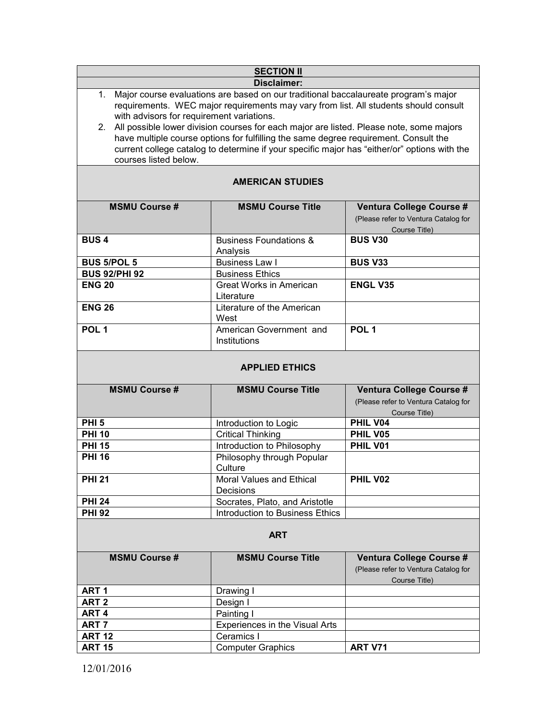|                                                                    | <b>SECTION II</b>                                                                                                                                                                                                                                                                                                                                                                                                                                                    |                                                                                   |  |  |
|--------------------------------------------------------------------|----------------------------------------------------------------------------------------------------------------------------------------------------------------------------------------------------------------------------------------------------------------------------------------------------------------------------------------------------------------------------------------------------------------------------------------------------------------------|-----------------------------------------------------------------------------------|--|--|
| <b>Disclaimer:</b>                                                 |                                                                                                                                                                                                                                                                                                                                                                                                                                                                      |                                                                                   |  |  |
| with advisors for requirement variations.<br>courses listed below. | 1. Major course evaluations are based on our traditional baccalaureate program's major<br>requirements. WEC major requirements may vary from list. All students should consult<br>2. All possible lower division courses for each major are listed. Please note, some majors<br>have multiple course options for fulfilling the same degree requirement. Consult the<br>current college catalog to determine if your specific major has "either/or" options with the |                                                                                   |  |  |
| <b>AMERICAN STUDIES</b>                                            |                                                                                                                                                                                                                                                                                                                                                                                                                                                                      |                                                                                   |  |  |
| <b>MSMU Course #</b>                                               | <b>MSMU Course Title</b>                                                                                                                                                                                                                                                                                                                                                                                                                                             | Ventura College Course #<br>(Please refer to Ventura Catalog for<br>Course Title) |  |  |
| <b>BUS4</b>                                                        | <b>Business Foundations &amp;</b><br>Analysis                                                                                                                                                                                                                                                                                                                                                                                                                        | <b>BUS V30</b>                                                                    |  |  |
| <b>BUS 5/POL 5</b>                                                 | <b>Business Law I</b>                                                                                                                                                                                                                                                                                                                                                                                                                                                | <b>BUS V33</b>                                                                    |  |  |
| <b>BUS 92/PHI 92</b>                                               | <b>Business Ethics</b>                                                                                                                                                                                                                                                                                                                                                                                                                                               |                                                                                   |  |  |
| <b>ENG 20</b>                                                      | <b>Great Works in American</b><br>Literature                                                                                                                                                                                                                                                                                                                                                                                                                         | <b>ENGL V35</b>                                                                   |  |  |
| <b>ENG 26</b>                                                      | Literature of the American<br>West                                                                                                                                                                                                                                                                                                                                                                                                                                   |                                                                                   |  |  |
| POL <sub>1</sub>                                                   | American Government and<br>Institutions                                                                                                                                                                                                                                                                                                                                                                                                                              | POL <sub>1</sub>                                                                  |  |  |
|                                                                    | <b>APPLIED ETHICS</b>                                                                                                                                                                                                                                                                                                                                                                                                                                                |                                                                                   |  |  |
| <b>MSMU Course #</b>                                               | <b>MSMU Course Title</b>                                                                                                                                                                                                                                                                                                                                                                                                                                             | Ventura College Course #<br>(Please refer to Ventura Catalog for<br>Course Title) |  |  |
| <b>PHI 5</b>                                                       | Introduction to Logic                                                                                                                                                                                                                                                                                                                                                                                                                                                | PHIL V04                                                                          |  |  |
| <b>PHI 10</b>                                                      | <b>Critical Thinking</b>                                                                                                                                                                                                                                                                                                                                                                                                                                             | PHIL V05                                                                          |  |  |
| <b>PHI 15</b>                                                      | Introduction to Philosophy                                                                                                                                                                                                                                                                                                                                                                                                                                           | PHIL V01                                                                          |  |  |
| <b>PHI 16</b>                                                      | Philosophy through Popular<br>Culture                                                                                                                                                                                                                                                                                                                                                                                                                                |                                                                                   |  |  |
| <b>PHI 21</b>                                                      | <b>Moral Values and Ethical</b><br>Decisions                                                                                                                                                                                                                                                                                                                                                                                                                         | PHIL V02                                                                          |  |  |
| <b>PHI 24</b>                                                      | Socrates, Plato, and Aristotle                                                                                                                                                                                                                                                                                                                                                                                                                                       |                                                                                   |  |  |
| <b>PHI 92</b>                                                      | Introduction to Business Ethics                                                                                                                                                                                                                                                                                                                                                                                                                                      |                                                                                   |  |  |
|                                                                    | <b>ART</b>                                                                                                                                                                                                                                                                                                                                                                                                                                                           |                                                                                   |  |  |
| <b>MSMU Course #</b>                                               | <b>MSMU Course Title</b>                                                                                                                                                                                                                                                                                                                                                                                                                                             | Ventura College Course #<br>(Please refer to Ventura Catalog for<br>Course Title) |  |  |
| ART <sub>1</sub>                                                   | Drawing I                                                                                                                                                                                                                                                                                                                                                                                                                                                            |                                                                                   |  |  |
| ART <sub>2</sub>                                                   | Design I                                                                                                                                                                                                                                                                                                                                                                                                                                                             |                                                                                   |  |  |
| ART <sub>4</sub>                                                   | Painting I                                                                                                                                                                                                                                                                                                                                                                                                                                                           |                                                                                   |  |  |
| ART <sub>7</sub>                                                   | Experiences in the Visual Arts                                                                                                                                                                                                                                                                                                                                                                                                                                       |                                                                                   |  |  |
| <b>ART 12</b>                                                      | Ceramics I                                                                                                                                                                                                                                                                                                                                                                                                                                                           |                                                                                   |  |  |
| <b>ART 15</b>                                                      | <b>Computer Graphics</b>                                                                                                                                                                                                                                                                                                                                                                                                                                             | <b>ART V71</b>                                                                    |  |  |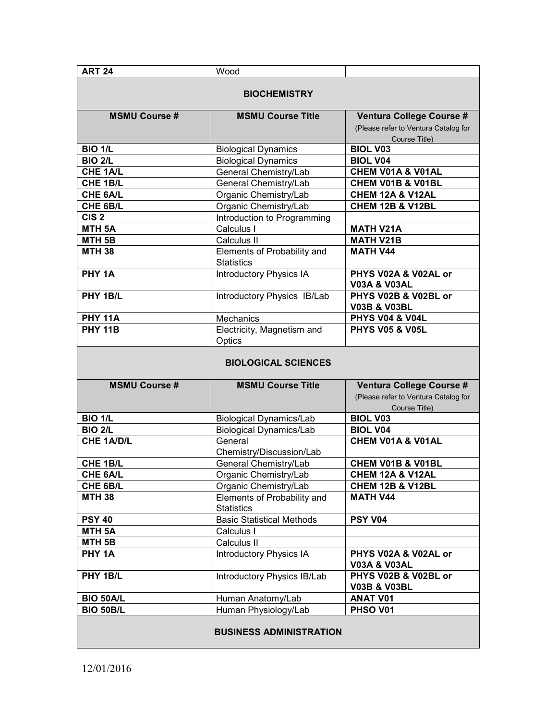| <b>ART 24</b>        | Wood                                             |                                                                                   |  |  |
|----------------------|--------------------------------------------------|-----------------------------------------------------------------------------------|--|--|
| <b>BIOCHEMISTRY</b>  |                                                  |                                                                                   |  |  |
| <b>MSMU Course #</b> | <b>MSMU Course Title</b>                         | Ventura College Course #<br>(Please refer to Ventura Catalog for<br>Course Title) |  |  |
| <b>BIO 1/L</b>       | <b>Biological Dynamics</b>                       | <b>BIOL V03</b>                                                                   |  |  |
| <b>BIO 2/L</b>       | <b>Biological Dynamics</b>                       | <b>BIOL V04</b>                                                                   |  |  |
| CHE 1A/L             | General Chemistry/Lab                            | CHEM V01A & V01AL                                                                 |  |  |
| CHE 1B/L             | General Chemistry/Lab                            | CHEM V01B & V01BL                                                                 |  |  |
| CHE 6A/L             | Organic Chemistry/Lab                            | <b>CHEM 12A &amp; V12AL</b>                                                       |  |  |
| CHE 6B/L             | Organic Chemistry/Lab                            | <b>CHEM 12B &amp; V12BL</b>                                                       |  |  |
| CIS <sub>2</sub>     | Introduction to Programming                      |                                                                                   |  |  |
| MTH <sub>5A</sub>    | Calculus I                                       | <b>MATH V21A</b>                                                                  |  |  |
| MTH <sub>5B</sub>    | Calculus II                                      | <b>MATH V21B</b>                                                                  |  |  |
| <b>MTH 38</b>        | Elements of Probability and<br><b>Statistics</b> | <b>MATH V44</b>                                                                   |  |  |
| PHY <sub>1A</sub>    | <b>Introductory Physics IA</b>                   | PHYS V02A & V02AL or<br><b>V03A &amp; V03AL</b>                                   |  |  |
| PHY 1B/L             | Introductory Physics IB/Lab                      | PHYS V02B & V02BL or<br><b>V03B &amp; V03BL</b>                                   |  |  |
| <b>PHY 11A</b>       | Mechanics                                        | <b>PHYS V04 &amp; V04L</b>                                                        |  |  |
| <b>PHY 11B</b>       | Electricity, Magnetism and<br>Optics             | <b>PHYS V05 &amp; V05L</b>                                                        |  |  |
|                      | <b>BIOLOGICAL SCIENCES</b>                       |                                                                                   |  |  |
| <b>MSMU Course #</b> | <b>MSMU Course Title</b>                         | Ventura College Course #<br>(Please refer to Ventura Catalog for<br>Course Title) |  |  |
| <b>BIO 1/L</b>       | <b>Biological Dynamics/Lab</b>                   | <b>BIOL V03</b>                                                                   |  |  |
| <b>BIO 2/L</b>       | <b>Biological Dynamics/Lab</b>                   | <b>BIOL V04</b>                                                                   |  |  |
| <b>CHE 1A/D/L</b>    | General<br>Chemistry/Discussion/Lab              | CHEM V01A & V01AL                                                                 |  |  |
| CHE 1B/L             | General Chemistry/Lab                            | CHEM V01B & V01BL                                                                 |  |  |
| CHE 6A/L             | Organic Chemistry/Lab                            | <b>CHEM 12A &amp; V12AL</b>                                                       |  |  |
| CHE 6B/L             | Organic Chemistry/Lab                            | <b>CHEM 12B &amp; V12BL</b>                                                       |  |  |
| <b>MTH 38</b>        | Elements of Probability and<br><b>Statistics</b> | <b>MATH V44</b>                                                                   |  |  |
| <b>PSY 40</b>        | <b>Basic Statistical Methods</b>                 | <b>PSY V04</b>                                                                    |  |  |
| MTH <sub>5A</sub>    | Calculus I                                       |                                                                                   |  |  |
| MTH <sub>5B</sub>    | Calculus II                                      |                                                                                   |  |  |
| PHY 1A               | <b>Introductory Physics IA</b>                   | PHYS V02A & V02AL or<br><b>V03A &amp; V03AL</b>                                   |  |  |
| PHY 1B/L             | Introductory Physics IB/Lab                      | PHYS V02B & V02BL or<br><b>V03B &amp; V03BL</b>                                   |  |  |
| <b>BIO 50A/L</b>     | Human Anatomy/Lab                                | <b>ANAT V01</b>                                                                   |  |  |
| <b>BIO 50B/L</b>     | Human Physiology/Lab                             | PHSO V01                                                                          |  |  |
|                      | <b>BUSINESS ADMINISTRATION</b>                   |                                                                                   |  |  |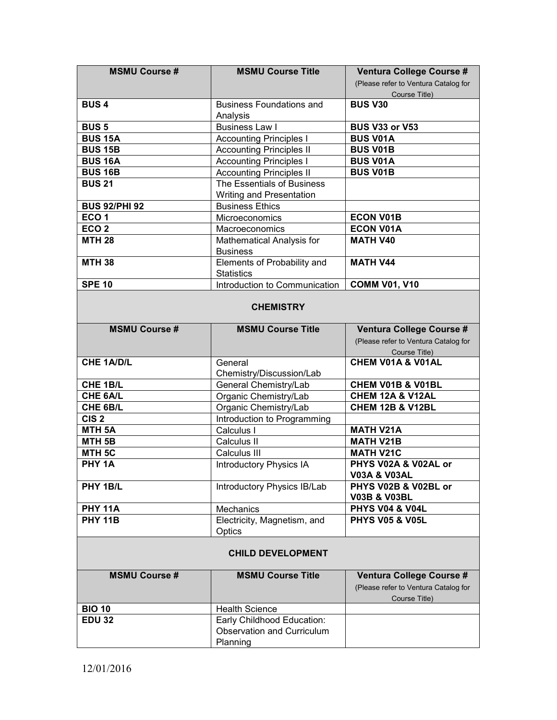| <b>MSMU Course #</b> | <b>MSMU Course Title</b>          | Ventura College Course #             |  |  |
|----------------------|-----------------------------------|--------------------------------------|--|--|
|                      |                                   | (Please refer to Ventura Catalog for |  |  |
|                      |                                   | Course Title)                        |  |  |
| <b>BUS4</b>          | <b>Business Foundations and</b>   | <b>BUS V30</b>                       |  |  |
|                      | Analysis                          |                                      |  |  |
| <b>BUS 5</b>         | <b>Business Law I</b>             | <b>BUS V33 or V53</b>                |  |  |
| <b>BUS 15A</b>       | <b>Accounting Principles I</b>    | <b>BUS V01A</b>                      |  |  |
| <b>BUS 15B</b>       | <b>Accounting Principles II</b>   | <b>BUS V01B</b>                      |  |  |
| <b>BUS 16A</b>       | <b>Accounting Principles I</b>    | <b>BUS V01A</b>                      |  |  |
| <b>BUS 16B</b>       | <b>Accounting Principles II</b>   | <b>BUS V01B</b>                      |  |  |
| <b>BUS 21</b>        | The Essentials of Business        |                                      |  |  |
|                      | Writing and Presentation          |                                      |  |  |
| <b>BUS 92/PHI 92</b> | <b>Business Ethics</b>            |                                      |  |  |
| ECO <sub>1</sub>     | Microeconomics                    | <b>ECON V01B</b>                     |  |  |
| ECO <sub>2</sub>     | Macroeconomics                    | <b>ECON V01A</b>                     |  |  |
| <b>MTH 28</b>        | Mathematical Analysis for         | <b>MATH V40</b>                      |  |  |
|                      | <b>Business</b>                   |                                      |  |  |
| <b>MTH 38</b>        | Elements of Probability and       | <b>MATH V44</b>                      |  |  |
|                      | <b>Statistics</b>                 |                                      |  |  |
| <b>SPE 10</b>        | Introduction to Communication     | <b>COMM V01, V10</b>                 |  |  |
|                      |                                   |                                      |  |  |
|                      | <b>CHEMISTRY</b>                  |                                      |  |  |
|                      |                                   |                                      |  |  |
| <b>MSMU Course#</b>  | <b>MSMU Course Title</b>          | Ventura College Course #             |  |  |
|                      |                                   | (Please refer to Ventura Catalog for |  |  |
|                      |                                   | Course Title)                        |  |  |
| <b>CHE 1A/D/L</b>    | General                           | CHEM V01A & V01AL                    |  |  |
|                      | Chemistry/Discussion/Lab          |                                      |  |  |
| CHE 1B/L             | General Chemistry/Lab             | CHEM V01B & V01BL                    |  |  |
| CHE 6A/L             | Organic Chemistry/Lab             | CHEM 12A & V12AL                     |  |  |
| CHE 6B/L             | Organic Chemistry/Lab             | <b>CHEM 12B &amp; V12BL</b>          |  |  |
| CIS <sub>2</sub>     | Introduction to Programming       |                                      |  |  |
| MTH <sub>5A</sub>    | Calculus I                        | <b>MATH V21A</b>                     |  |  |
| MTH <sub>5B</sub>    | Calculus II                       | <b>MATH V21B</b>                     |  |  |
| MTH <sub>5C</sub>    | Calculus III                      | <b>MATH V21C</b>                     |  |  |
| PHY <sub>1A</sub>    | <b>Introductory Physics IA</b>    | PHYS V02A & V02AL or                 |  |  |
|                      |                                   | V03A & V03AL                         |  |  |
| PHY 1B/L             | Introductory Physics IB/Lab       | PHYS V02B & V02BL or                 |  |  |
|                      |                                   | <b>V03B &amp; V03BL</b>              |  |  |
| <b>PHY 11A</b>       | Mechanics                         | <b>PHYS V04 &amp; V04L</b>           |  |  |
| <b>PHY 11B</b>       | Electricity, Magnetism, and       | <b>PHYS V05 &amp; V05L</b>           |  |  |
|                      | Optics                            |                                      |  |  |
|                      |                                   |                                      |  |  |
|                      | <b>CHILD DEVELOPMENT</b>          |                                      |  |  |
|                      |                                   |                                      |  |  |
| <b>MSMU Course #</b> | <b>MSMU Course Title</b>          | Ventura College Course #             |  |  |
|                      |                                   | (Please refer to Ventura Catalog for |  |  |
|                      |                                   | Course Title)                        |  |  |
| <b>BIO 10</b>        | <b>Health Science</b>             |                                      |  |  |
| <b>EDU 32</b>        | Early Childhood Education:        |                                      |  |  |
|                      |                                   |                                      |  |  |
|                      | <b>Observation and Curriculum</b> |                                      |  |  |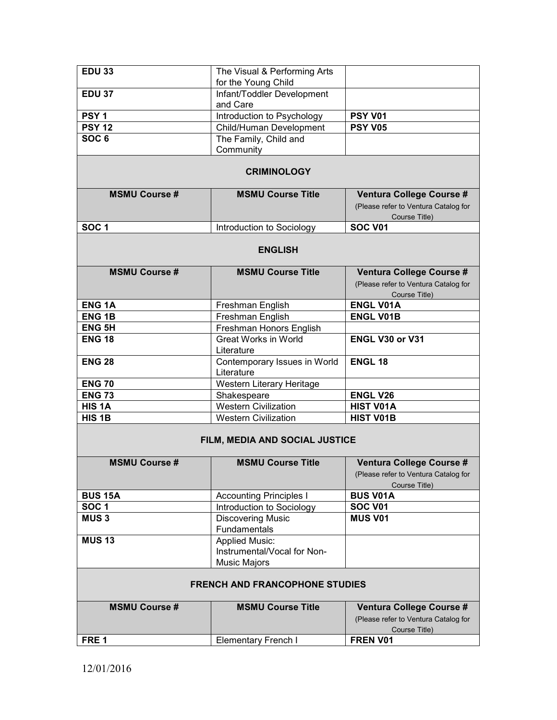| <b>EDU 33</b>                                                                                                  | The Visual & Performing Arts               |                                                                                   |  |  |
|----------------------------------------------------------------------------------------------------------------|--------------------------------------------|-----------------------------------------------------------------------------------|--|--|
|                                                                                                                | for the Young Child                        |                                                                                   |  |  |
| <b>EDU 37</b>                                                                                                  | Infant/Toddler Development                 |                                                                                   |  |  |
|                                                                                                                | and Care                                   |                                                                                   |  |  |
| PSY <sub>1</sub>                                                                                               | Introduction to Psychology                 | <b>PSY V01</b>                                                                    |  |  |
| <b>PSY 12</b>                                                                                                  | Child/Human Development                    | <b>PSY V05</b>                                                                    |  |  |
| SOC <sub>6</sub>                                                                                               | The Family, Child and                      |                                                                                   |  |  |
|                                                                                                                | Community                                  |                                                                                   |  |  |
|                                                                                                                | <b>CRIMINOLOGY</b>                         |                                                                                   |  |  |
| <b>MSMU Course #</b>                                                                                           | <b>MSMU Course Title</b>                   | Ventura College Course #                                                          |  |  |
|                                                                                                                |                                            | (Please refer to Ventura Catalog for                                              |  |  |
|                                                                                                                |                                            | Course Title)                                                                     |  |  |
| SOC <sub>1</sub>                                                                                               | Introduction to Sociology                  | <b>SOC V01</b>                                                                    |  |  |
|                                                                                                                | <b>ENGLISH</b>                             |                                                                                   |  |  |
| <b>MSMU Course #</b>                                                                                           | <b>MSMU Course Title</b>                   | Ventura College Course #                                                          |  |  |
|                                                                                                                |                                            | (Please refer to Ventura Catalog for                                              |  |  |
|                                                                                                                |                                            | Course Title)                                                                     |  |  |
| <b>ENG1A</b>                                                                                                   | Freshman English                           | <b>ENGL V01A</b>                                                                  |  |  |
| <b>ENG1B</b>                                                                                                   | Freshman English                           | <b>ENGL V01B</b>                                                                  |  |  |
| <b>ENG 5H</b>                                                                                                  | Freshman Honors English                    |                                                                                   |  |  |
| <b>ENG 18</b>                                                                                                  | <b>Great Works in World</b><br>Literature  | ENGL V30 or V31                                                                   |  |  |
| <b>ENG 28</b>                                                                                                  | Contemporary Issues in World<br>Literature | <b>ENGL 18</b>                                                                    |  |  |
| <b>ENG 70</b>                                                                                                  | Western Literary Heritage                  |                                                                                   |  |  |
| <b>ENG 73</b>                                                                                                  | Shakespeare                                | <b>ENGL V26</b>                                                                   |  |  |
| HIS <sub>1</sub> A                                                                                             | <b>Western Civilization</b>                | <b>HIST V01A</b>                                                                  |  |  |
| HIS <sub>1B</sub>                                                                                              | <b>Western Civilization</b>                | <b>HIST V01B</b>                                                                  |  |  |
| FILM, MEDIA AND SOCIAL JUSTICE<br><b>MSMU Course #</b><br><b>MSMU Course Title</b><br>Ventura College Course # |                                            |                                                                                   |  |  |
|                                                                                                                |                                            | (Please refer to Ventura Catalog for<br>Course Title)                             |  |  |
| <b>BUS 15A</b>                                                                                                 | <b>Accounting Principles I</b>             | <b>BUS V01A</b>                                                                   |  |  |
| SOC <sub>1</sub>                                                                                               | Introduction to Sociology                  | <b>SOC V01</b>                                                                    |  |  |
| <b>MUS3</b>                                                                                                    | <b>Discovering Music</b><br>Fundamentals   | <b>MUS V01</b>                                                                    |  |  |
| <b>MUS 13</b>                                                                                                  | <b>Applied Music:</b>                      |                                                                                   |  |  |
|                                                                                                                | Instrumental/Vocal for Non-                |                                                                                   |  |  |
|                                                                                                                | <b>Music Majors</b>                        |                                                                                   |  |  |
| <b>FRENCH AND FRANCOPHONE STUDIES</b>                                                                          |                                            |                                                                                   |  |  |
| <b>MSMU Course #</b>                                                                                           | <b>MSMU Course Title</b>                   | Ventura College Course #<br>(Please refer to Ventura Catalog for<br>Course Title) |  |  |
| FRE <sub>1</sub>                                                                                               | <b>Elementary French I</b>                 | FREN V01                                                                          |  |  |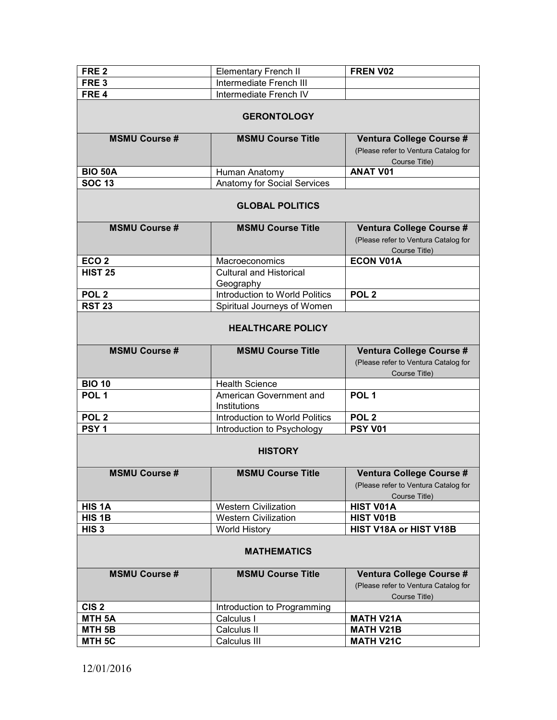| FRE <sub>2</sub>     | <b>Elementary French II</b>    | FREN V02                             |  |  |  |  |  |
|----------------------|--------------------------------|--------------------------------------|--|--|--|--|--|
| FRE <sub>3</sub>     | Intermediate French III        |                                      |  |  |  |  |  |
| FRE <sub>4</sub>     | Intermediate French IV         |                                      |  |  |  |  |  |
|                      |                                |                                      |  |  |  |  |  |
|                      | <b>GERONTOLOGY</b>             |                                      |  |  |  |  |  |
| <b>MSMU Course #</b> | <b>MSMU Course Title</b>       | Ventura College Course #             |  |  |  |  |  |
|                      |                                | (Please refer to Ventura Catalog for |  |  |  |  |  |
|                      |                                | Course Title)                        |  |  |  |  |  |
| <b>BIO 50A</b>       | Human Anatomy                  | <b>ANAT V01</b>                      |  |  |  |  |  |
| <b>SOC 13</b>        | Anatomy for Social Services    |                                      |  |  |  |  |  |
|                      |                                |                                      |  |  |  |  |  |
|                      | <b>GLOBAL POLITICS</b>         |                                      |  |  |  |  |  |
| <b>MSMU Course #</b> | <b>MSMU Course Title</b>       | Ventura College Course #             |  |  |  |  |  |
|                      |                                | (Please refer to Ventura Catalog for |  |  |  |  |  |
|                      |                                | Course Title)                        |  |  |  |  |  |
| ECO <sub>2</sub>     | Macroeconomics                 | <b>ECON V01A</b>                     |  |  |  |  |  |
| <b>HIST 25</b>       | <b>Cultural and Historical</b> |                                      |  |  |  |  |  |
|                      | Geography                      |                                      |  |  |  |  |  |
| POL <sub>2</sub>     | Introduction to World Politics | POL <sub>2</sub>                     |  |  |  |  |  |
| <b>RST 23</b>        | Spiritual Journeys of Women    |                                      |  |  |  |  |  |
|                      | <b>HEALTHCARE POLICY</b>       |                                      |  |  |  |  |  |
| <b>MSMU Course #</b> | <b>MSMU Course Title</b>       | Ventura College Course #             |  |  |  |  |  |
|                      |                                | (Please refer to Ventura Catalog for |  |  |  |  |  |
|                      |                                | Course Title)                        |  |  |  |  |  |
| <b>BIO 10</b>        | <b>Health Science</b>          |                                      |  |  |  |  |  |
| POL <sub>1</sub>     | American Government and        | POL <sub>1</sub>                     |  |  |  |  |  |
|                      | Institutions                   |                                      |  |  |  |  |  |
| POL <sub>2</sub>     | Introduction to World Politics | POL <sub>2</sub>                     |  |  |  |  |  |
| PSY <sub>1</sub>     | Introduction to Psychology     | <b>PSY V01</b>                       |  |  |  |  |  |
|                      |                                |                                      |  |  |  |  |  |
|                      | <b>HISTORY</b>                 |                                      |  |  |  |  |  |
| <b>MSMU Course #</b> | <b>MSMU Course Title</b>       | Ventura College Course #             |  |  |  |  |  |
|                      |                                | (Please refer to Ventura Catalog for |  |  |  |  |  |
|                      |                                | Course Title)                        |  |  |  |  |  |
| HIS <sub>1</sub> A   | <b>Western Civilization</b>    | <b>HIST V01A</b>                     |  |  |  |  |  |
| HIS <sub>1B</sub>    | <b>Western Civilization</b>    | <b>HIST V01B</b>                     |  |  |  |  |  |
| HIS <sub>3</sub>     | <b>World History</b>           | HIST V18A or HIST V18B               |  |  |  |  |  |
| <b>MATHEMATICS</b>   |                                |                                      |  |  |  |  |  |
| <b>MSMU Course #</b> | <b>MSMU Course Title</b>       | Ventura College Course #             |  |  |  |  |  |
|                      |                                | (Please refer to Ventura Catalog for |  |  |  |  |  |
|                      |                                | Course Title)                        |  |  |  |  |  |
| CIS <sub>2</sub>     | Introduction to Programming    |                                      |  |  |  |  |  |
| MTH <sub>5A</sub>    | Calculus I                     | <b>MATH V21A</b>                     |  |  |  |  |  |
| MTH <sub>5B</sub>    | Calculus II                    | <b>MATH V21B</b>                     |  |  |  |  |  |
| MTH <sub>5C</sub>    | Calculus III                   | <b>MATH V21C</b>                     |  |  |  |  |  |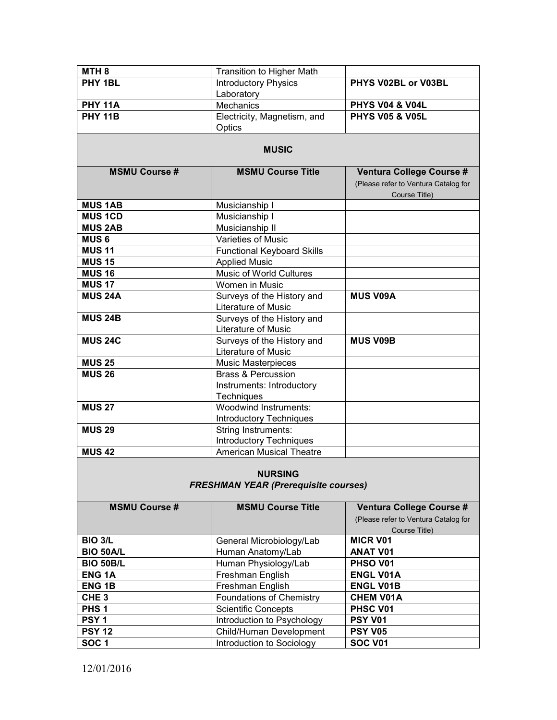| MTH <sub>8</sub>                                              | Transition to Higher Math         |                                                       |  |  |
|---------------------------------------------------------------|-----------------------------------|-------------------------------------------------------|--|--|
| PHY 1BL                                                       | <b>Introductory Physics</b>       | PHYS V02BL or V03BL                                   |  |  |
|                                                               | Laboratory                        |                                                       |  |  |
| <b>PHY 11A</b>                                                | <b>Mechanics</b>                  | <b>PHYS V04 &amp; V04L</b>                            |  |  |
| <b>PHY 11B</b>                                                | Electricity, Magnetism, and       | <b>PHYS V05 &amp; V05L</b>                            |  |  |
|                                                               | Optics                            |                                                       |  |  |
|                                                               | <b>MUSIC</b>                      |                                                       |  |  |
| <b>MSMU Course #</b>                                          | <b>MSMU Course Title</b>          | Ventura College Course #                              |  |  |
|                                                               |                                   | (Please refer to Ventura Catalog for<br>Course Title) |  |  |
| <b>MUS 1AB</b>                                                | Musicianship I                    |                                                       |  |  |
| <b>MUS 1CD</b>                                                | Musicianship I                    |                                                       |  |  |
| <b>MUS 2AB</b>                                                | Musicianship II                   |                                                       |  |  |
| <b>MUS6</b>                                                   | Varieties of Music                |                                                       |  |  |
| <b>MUS 11</b>                                                 | <b>Functional Keyboard Skills</b> |                                                       |  |  |
| <b>MUS 15</b>                                                 | <b>Applied Music</b>              |                                                       |  |  |
| <b>MUS 16</b>                                                 | Music of World Cultures           |                                                       |  |  |
| <b>MUS 17</b>                                                 | Women in Music                    |                                                       |  |  |
| <b>MUS 24A</b>                                                | Surveys of the History and        | <b>MUS V09A</b>                                       |  |  |
|                                                               | Literature of Music               |                                                       |  |  |
| <b>MUS 24B</b>                                                | Surveys of the History and        |                                                       |  |  |
|                                                               | Literature of Music               |                                                       |  |  |
| <b>MUS 24C</b>                                                | Surveys of the History and        | <b>MUS V09B</b>                                       |  |  |
|                                                               | Literature of Music               |                                                       |  |  |
| <b>MUS 25</b>                                                 | <b>Music Masterpieces</b>         |                                                       |  |  |
| <b>MUS 26</b>                                                 | <b>Brass &amp; Percussion</b>     |                                                       |  |  |
|                                                               | Instruments: Introductory         |                                                       |  |  |
|                                                               | Techniques                        |                                                       |  |  |
| <b>MUS 27</b>                                                 | <b>Woodwind Instruments:</b>      |                                                       |  |  |
|                                                               | <b>Introductory Techniques</b>    |                                                       |  |  |
| <b>MUS 29</b>                                                 | String Instruments:               |                                                       |  |  |
|                                                               | <b>Introductory Techniques</b>    |                                                       |  |  |
| <b>MUS 42</b>                                                 | <b>American Musical Theatre</b>   |                                                       |  |  |
| <b>NURSING</b><br><b>FRESHMAN YEAR (Prerequisite courses)</b> |                                   |                                                       |  |  |
|                                                               |                                   |                                                       |  |  |
| <b>MSMU Course #</b>                                          | <b>MSMU Course Title</b>          | Ventura College Course #                              |  |  |
|                                                               |                                   | (Please refer to Ventura Catalog for                  |  |  |
|                                                               |                                   | Course Title)                                         |  |  |
| <b>BIO 3/L</b>                                                | General Microbiology/Lab          | <b>MICR V01</b>                                       |  |  |
| <b>DIO EOAIL</b>                                              |                                   | AN AT VO4                                             |  |  |

| BIO 3/L          | General Microbiology/Lab        | <b>MICR V01</b>     |
|------------------|---------------------------------|---------------------|
| <b>BIO 50A/L</b> | Human Anatomy/Lab               | <b>ANAT V01</b>     |
| <b>BIO 50B/L</b> | Human Physiology/Lab            | PHSO V01            |
| <b>ENG1A</b>     | Freshman English                | <b>ENGL V01A</b>    |
| <b>ENG 1B</b>    | Freshman English                | <b>ENGL V01B</b>    |
| CHE <sub>3</sub> | <b>Foundations of Chemistry</b> | <b>CHEM V01A</b>    |
| PHS <sub>1</sub> | <b>Scientific Concepts</b>      | PHSC V01            |
| PSY <sub>1</sub> | Introduction to Psychology      | PSY V <sub>01</sub> |
| <b>PSY 12</b>    | Child/Human Development         | <b>PSY V05</b>      |
| <b>SOC1</b>      | Introduction to Sociology       | <b>SOC V01</b>      |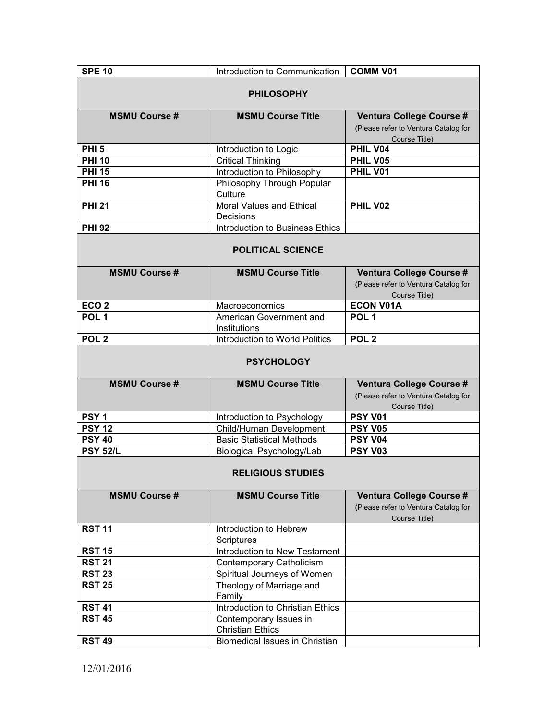| <b>SPE 10</b>            | Introduction to Communication                     | <b>COMM V01</b>                                                                   |  |  |
|--------------------------|---------------------------------------------------|-----------------------------------------------------------------------------------|--|--|
| <b>PHILOSOPHY</b>        |                                                   |                                                                                   |  |  |
| <b>MSMU Course #</b>     | <b>MSMU Course Title</b>                          | Ventura College Course #<br>(Please refer to Ventura Catalog for<br>Course Title) |  |  |
| <b>PHI 5</b>             | Introduction to Logic                             | PHIL V04                                                                          |  |  |
| <b>PHI 10</b>            | <b>Critical Thinking</b>                          | PHIL V05                                                                          |  |  |
| <b>PHI 15</b>            | Introduction to Philosophy                        | PHIL V01                                                                          |  |  |
| <b>PHI 16</b>            | Philosophy Through Popular<br>Culture             |                                                                                   |  |  |
| <b>PHI 21</b>            | Moral Values and Ethical<br>Decisions             | PHIL V02                                                                          |  |  |
| <b>PHI 92</b>            | Introduction to Business Ethics                   |                                                                                   |  |  |
|                          | <b>POLITICAL SCIENCE</b>                          |                                                                                   |  |  |
| <b>MSMU Course #</b>     | <b>MSMU Course Title</b>                          | Ventura College Course #<br>(Please refer to Ventura Catalog for<br>Course Title) |  |  |
| ECO <sub>2</sub>         | Macroeconomics                                    | <b>ECON V01A</b>                                                                  |  |  |
| POL <sub>1</sub>         | American Government and<br>Institutions           | POL <sub>1</sub>                                                                  |  |  |
| POL <sub>2</sub>         | Introduction to World Politics                    | POL <sub>2</sub>                                                                  |  |  |
| <b>PSYCHOLOGY</b>        |                                                   |                                                                                   |  |  |
| <b>MSMU Course #</b>     | <b>MSMU Course Title</b>                          | Ventura College Course #<br>(Please refer to Ventura Catalog for<br>Course Title) |  |  |
| PSY <sub>1</sub>         | Introduction to Psychology                        | <b>PSY V01</b>                                                                    |  |  |
| <b>PSY 12</b>            | Child/Human Development                           | <b>PSY V05</b>                                                                    |  |  |
| <b>PSY 40</b>            | <b>Basic Statistical Methods</b>                  | <b>PSY V04</b>                                                                    |  |  |
| <b>PSY 52/L</b>          | Biological Psychology/Lab                         | <b>PSY V03</b>                                                                    |  |  |
| <b>RELIGIOUS STUDIES</b> |                                                   |                                                                                   |  |  |
| <b>MSMU Course#</b>      | <b>MSMU Course Title</b>                          | Ventura College Course #<br>(Please refer to Ventura Catalog for<br>Course Title) |  |  |
| <b>RST 11</b>            | Introduction to Hebrew<br><b>Scriptures</b>       |                                                                                   |  |  |
| <b>RST 15</b>            | Introduction to New Testament                     |                                                                                   |  |  |
| <b>RST 21</b>            | <b>Contemporary Catholicism</b>                   |                                                                                   |  |  |
| <b>RST 23</b>            | Spiritual Journeys of Women                       |                                                                                   |  |  |
| <b>RST 25</b>            | Theology of Marriage and<br>Family                |                                                                                   |  |  |
| <b>RST 41</b>            | Introduction to Christian Ethics                  |                                                                                   |  |  |
| <b>RST 45</b>            | Contemporary Issues in<br><b>Christian Ethics</b> |                                                                                   |  |  |
| <b>RST 49</b>            | <b>Biomedical Issues in Christian</b>             |                                                                                   |  |  |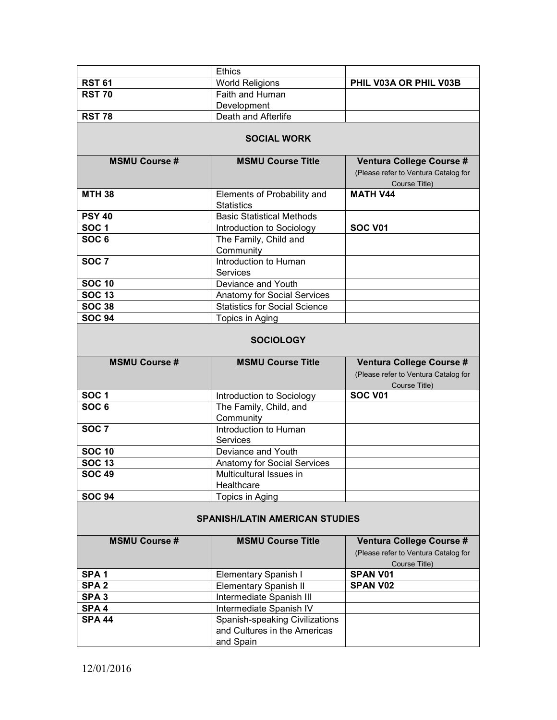|                                | <b>Ethics</b>                                                               |                                                                                   |  |  |  |
|--------------------------------|-----------------------------------------------------------------------------|-----------------------------------------------------------------------------------|--|--|--|
| <b>RST 61</b>                  | <b>World Religions</b>                                                      | PHIL V03A OR PHIL V03B                                                            |  |  |  |
| <b>RST 70</b>                  | Faith and Human                                                             |                                                                                   |  |  |  |
|                                | Development                                                                 |                                                                                   |  |  |  |
| RST $78$                       | Death and Afterlife                                                         |                                                                                   |  |  |  |
| <b>SOCIAL WORK</b>             |                                                                             |                                                                                   |  |  |  |
| <b>MSMU Course #</b>           | <b>MSMU Course Title</b>                                                    | Ventura College Course #                                                          |  |  |  |
|                                |                                                                             | (Please refer to Ventura Catalog for<br>Course Title)                             |  |  |  |
| <b>MTH 38</b>                  | Elements of Probability and<br><b>Statistics</b>                            | <b>MATH V44</b>                                                                   |  |  |  |
| <b>PSY 40</b>                  | <b>Basic Statistical Methods</b>                                            |                                                                                   |  |  |  |
| <b>SOC1</b>                    | Introduction to Sociology                                                   | <b>SOC V01</b>                                                                    |  |  |  |
| SOC <sub>6</sub>               | The Family, Child and<br>Community                                          |                                                                                   |  |  |  |
| SOC <sub>7</sub>               | Introduction to Human<br><b>Services</b>                                    |                                                                                   |  |  |  |
| <b>SOC 10</b>                  | Deviance and Youth                                                          |                                                                                   |  |  |  |
| <b>SOC 13</b>                  | <b>Anatomy for Social Services</b>                                          |                                                                                   |  |  |  |
| <b>SOC 38</b>                  | <b>Statistics for Social Science</b>                                        |                                                                                   |  |  |  |
| <b>SOC 94</b>                  | Topics in Aging                                                             |                                                                                   |  |  |  |
| <b>SOCIOLOGY</b>               |                                                                             |                                                                                   |  |  |  |
|                                |                                                                             |                                                                                   |  |  |  |
| <b>MSMU Course #</b>           | <b>MSMU Course Title</b>                                                    | Ventura College Course #<br>(Please refer to Ventura Catalog for<br>Course Title) |  |  |  |
| SOC <sub>1</sub>               | Introduction to Sociology                                                   | <b>SOC V01</b>                                                                    |  |  |  |
| SOC <sub>6</sub>               | The Family, Child, and                                                      |                                                                                   |  |  |  |
| SOC <sub>7</sub>               | Community<br>Introduction to Human                                          |                                                                                   |  |  |  |
|                                | <b>Services</b>                                                             |                                                                                   |  |  |  |
| <b>SOC 10</b><br><b>SOC 13</b> | Deviance and Youth                                                          |                                                                                   |  |  |  |
| <b>SOC 49</b>                  | <b>Anatomy for Social Services</b><br>Multicultural Issues in               |                                                                                   |  |  |  |
| <b>SOC 94</b>                  | Healthcare                                                                  |                                                                                   |  |  |  |
|                                | Topics in Aging<br><b>SPANISH/LATIN AMERICAN STUDIES</b>                    |                                                                                   |  |  |  |
| <b>MSMU Course #</b>           | <b>MSMU Course Title</b>                                                    | Ventura College Course #<br>(Please refer to Ventura Catalog for<br>Course Title) |  |  |  |
| SPA <sub>1</sub>               | Elementary Spanish I                                                        | <b>SPAN V01</b>                                                                   |  |  |  |
| SPA <sub>2</sub>               | <b>Elementary Spanish II</b>                                                | <b>SPAN V02</b>                                                                   |  |  |  |
| SPA <sub>3</sub>               | Intermediate Spanish III                                                    |                                                                                   |  |  |  |
| SPA <sub>4</sub>               | Intermediate Spanish IV                                                     |                                                                                   |  |  |  |
| <b>SPA 44</b>                  | Spanish-speaking Civilizations<br>and Cultures in the Americas<br>and Spain |                                                                                   |  |  |  |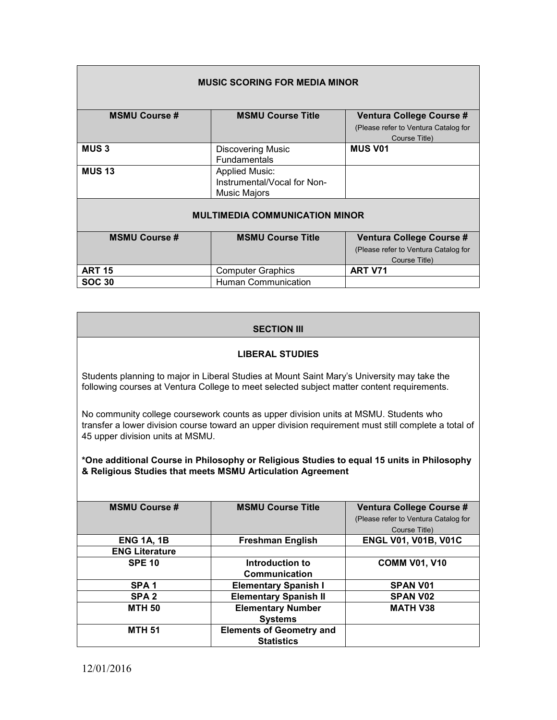| <b>MUSIC SCORING FOR MEDIA MINOR</b>  |                             |                                      |  |  |
|---------------------------------------|-----------------------------|--------------------------------------|--|--|
| <b>MSMU Course #</b>                  | <b>MSMU Course Title</b>    | Ventura College Course #             |  |  |
|                                       |                             | (Please refer to Ventura Catalog for |  |  |
|                                       |                             | Course Title)                        |  |  |
| <b>MUS3</b>                           | <b>Discovering Music</b>    | <b>MUS V01</b>                       |  |  |
|                                       | <b>Fundamentals</b>         |                                      |  |  |
| <b>MUS 13</b>                         | <b>Applied Music:</b>       |                                      |  |  |
|                                       | Instrumental/Vocal for Non- |                                      |  |  |
|                                       | <b>Music Majors</b>         |                                      |  |  |
| <b>MULTIMEDIA COMMUNICATION MINOR</b> |                             |                                      |  |  |
| <b>MSMU Course #</b>                  | <b>MSMU Course Title</b>    | Ventura College Course #             |  |  |
|                                       |                             | (Please refer to Ventura Catalog for |  |  |
|                                       |                             | Course Title)                        |  |  |
| <b>ART 15</b>                         | <b>Computer Graphics</b>    | <b>ART V71</b>                       |  |  |
| <b>SOC 30</b>                         | <b>Human Communication</b>  |                                      |  |  |

# **SECTION III**

## **LIBERAL STUDIES**

Students planning to major in Liberal Studies at Mount Saint Mary's University may take the following courses at Ventura College to meet selected subject matter content requirements.

No community college coursework counts as upper division units at MSMU. Students who transfer a lower division course toward an upper division requirement must still complete a total of 45 upper division units at MSMU.

## **\*One additional Course in Philosophy or Religious Studies to equal 15 units in Philosophy & Religious Studies that meets MSMU Articulation Agreement**

| <b>MSMU Course #</b>  | <b>MSMU Course Title</b>        | Ventura College Course #             |  |
|-----------------------|---------------------------------|--------------------------------------|--|
|                       |                                 | (Please refer to Ventura Catalog for |  |
|                       |                                 | Course Title)                        |  |
| <b>ENG 1A, 1B</b>     | <b>Freshman English</b>         | <b>ENGL V01, V01B, V01C</b>          |  |
| <b>ENG Literature</b> |                                 |                                      |  |
| <b>SPE 10</b>         | Introduction to                 | <b>COMM V01, V10</b>                 |  |
|                       | Communication                   |                                      |  |
| SPA <sub>1</sub>      | <b>Elementary Spanish I</b>     | <b>SPAN V01</b>                      |  |
| SPA <sub>2</sub>      | <b>Elementary Spanish II</b>    | <b>SPAN V02</b>                      |  |
| <b>MTH 50</b>         | <b>Elementary Number</b>        | <b>MATH V38</b>                      |  |
|                       | <b>Systems</b>                  |                                      |  |
| <b>MTH 51</b>         | <b>Elements of Geometry and</b> |                                      |  |
|                       | <b>Statistics</b>               |                                      |  |